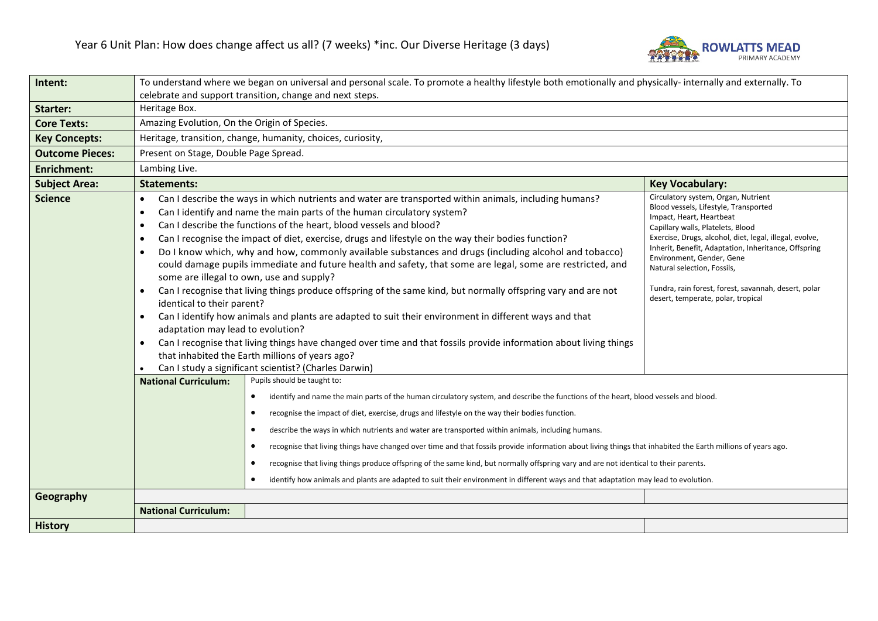

| Intent:                | To understand where we began on universal and personal scale. To promote a healthy lifestyle both emotionally and physically- internally and externally. To |                                                                                                                                                                                                                                                                                                                                                                                                                                                                                                                                                                                                                                                                                                                                                                                                                                                                                                                                                                                                                                                                                                 |                                                                                                                                                                                                                                                                                                                                                                                                                            |  |
|------------------------|-------------------------------------------------------------------------------------------------------------------------------------------------------------|-------------------------------------------------------------------------------------------------------------------------------------------------------------------------------------------------------------------------------------------------------------------------------------------------------------------------------------------------------------------------------------------------------------------------------------------------------------------------------------------------------------------------------------------------------------------------------------------------------------------------------------------------------------------------------------------------------------------------------------------------------------------------------------------------------------------------------------------------------------------------------------------------------------------------------------------------------------------------------------------------------------------------------------------------------------------------------------------------|----------------------------------------------------------------------------------------------------------------------------------------------------------------------------------------------------------------------------------------------------------------------------------------------------------------------------------------------------------------------------------------------------------------------------|--|
|                        | celebrate and support transition, change and next steps.                                                                                                    |                                                                                                                                                                                                                                                                                                                                                                                                                                                                                                                                                                                                                                                                                                                                                                                                                                                                                                                                                                                                                                                                                                 |                                                                                                                                                                                                                                                                                                                                                                                                                            |  |
| Starter:               | Heritage Box.                                                                                                                                               |                                                                                                                                                                                                                                                                                                                                                                                                                                                                                                                                                                                                                                                                                                                                                                                                                                                                                                                                                                                                                                                                                                 |                                                                                                                                                                                                                                                                                                                                                                                                                            |  |
| <b>Core Texts:</b>     | Amazing Evolution, On the Origin of Species.                                                                                                                |                                                                                                                                                                                                                                                                                                                                                                                                                                                                                                                                                                                                                                                                                                                                                                                                                                                                                                                                                                                                                                                                                                 |                                                                                                                                                                                                                                                                                                                                                                                                                            |  |
| <b>Key Concepts:</b>   |                                                                                                                                                             | Heritage, transition, change, humanity, choices, curiosity,                                                                                                                                                                                                                                                                                                                                                                                                                                                                                                                                                                                                                                                                                                                                                                                                                                                                                                                                                                                                                                     |                                                                                                                                                                                                                                                                                                                                                                                                                            |  |
| <b>Outcome Pieces:</b> | Present on Stage, Double Page Spread.                                                                                                                       |                                                                                                                                                                                                                                                                                                                                                                                                                                                                                                                                                                                                                                                                                                                                                                                                                                                                                                                                                                                                                                                                                                 |                                                                                                                                                                                                                                                                                                                                                                                                                            |  |
| <b>Enrichment:</b>     | Lambing Live.                                                                                                                                               |                                                                                                                                                                                                                                                                                                                                                                                                                                                                                                                                                                                                                                                                                                                                                                                                                                                                                                                                                                                                                                                                                                 |                                                                                                                                                                                                                                                                                                                                                                                                                            |  |
| <b>Subject Area:</b>   | <b>Statements:</b>                                                                                                                                          |                                                                                                                                                                                                                                                                                                                                                                                                                                                                                                                                                                                                                                                                                                                                                                                                                                                                                                                                                                                                                                                                                                 | <b>Key Vocabulary:</b>                                                                                                                                                                                                                                                                                                                                                                                                     |  |
| <b>Science</b>         | ٠<br>$\bullet$<br>$\bullet$<br>$\bullet$<br>٠<br>$\bullet$<br>identical to their parent?<br>$\bullet$<br>adaptation may lead to evolution?<br>$\bullet$     | Can I describe the ways in which nutrients and water are transported within animals, including humans?<br>Can I identify and name the main parts of the human circulatory system?<br>Can I describe the functions of the heart, blood vessels and blood?<br>Can I recognise the impact of diet, exercise, drugs and lifestyle on the way their bodies function?<br>Do I know which, why and how, commonly available substances and drugs (including alcohol and tobacco)<br>could damage pupils immediate and future health and safety, that some are legal, some are restricted, and<br>some are illegal to own, use and supply?<br>Can I recognise that living things produce offspring of the same kind, but normally offspring vary and are not<br>Can I identify how animals and plants are adapted to suit their environment in different ways and that<br>Can I recognise that living things have changed over time and that fossils provide information about living things<br>that inhabited the Earth millions of years ago?<br>Can I study a significant scientist? (Charles Darwin) | Circulatory system, Organ, Nutrient<br>Blood vessels, Lifestyle, Transported<br>Impact, Heart, Heartbeat<br>Capillary walls, Platelets, Blood<br>Exercise, Drugs, alcohol, diet, legal, illegal, evolve,<br>Inherit, Benefit, Adaptation, Inheritance, Offspring<br>Environment, Gender, Gene<br>Natural selection, Fossils,<br>Tundra, rain forest, forest, savannah, desert, polar<br>desert, temperate, polar, tropical |  |
|                        | <b>National Curriculum:</b>                                                                                                                                 | Pupils should be taught to:<br>identify and name the main parts of the human circulatory system, and describe the functions of the heart, blood vessels and blood.<br>$\bullet$<br>recognise the impact of diet, exercise, drugs and lifestyle on the way their bodies function.<br>$\bullet$<br>describe the ways in which nutrients and water are transported within animals, including humans.<br>$\bullet$<br>recognise that living things have changed over time and that fossils provide information about living things that inhabited the Earth millions of years ago.<br>$\bullet$<br>recognise that living things produce offspring of the same kind, but normally offspring vary and are not identical to their parents.<br>$\bullet$<br>identify how animals and plants are adapted to suit their environment in different ways and that adaptation may lead to evolution.                                                                                                                                                                                                          |                                                                                                                                                                                                                                                                                                                                                                                                                            |  |
| Geography              | <b>National Curriculum:</b>                                                                                                                                 |                                                                                                                                                                                                                                                                                                                                                                                                                                                                                                                                                                                                                                                                                                                                                                                                                                                                                                                                                                                                                                                                                                 |                                                                                                                                                                                                                                                                                                                                                                                                                            |  |
| <b>History</b>         |                                                                                                                                                             |                                                                                                                                                                                                                                                                                                                                                                                                                                                                                                                                                                                                                                                                                                                                                                                                                                                                                                                                                                                                                                                                                                 |                                                                                                                                                                                                                                                                                                                                                                                                                            |  |
|                        |                                                                                                                                                             |                                                                                                                                                                                                                                                                                                                                                                                                                                                                                                                                                                                                                                                                                                                                                                                                                                                                                                                                                                                                                                                                                                 |                                                                                                                                                                                                                                                                                                                                                                                                                            |  |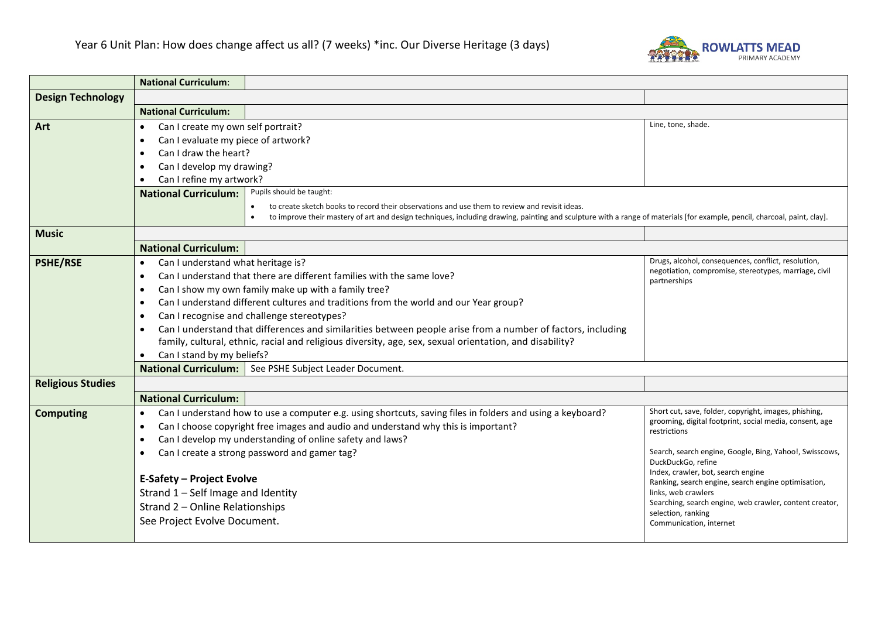

|                          | <b>National Curriculum:</b>                                                                                                                                  |                                                                                                                                                                                       |                                                                         |  |  |
|--------------------------|--------------------------------------------------------------------------------------------------------------------------------------------------------------|---------------------------------------------------------------------------------------------------------------------------------------------------------------------------------------|-------------------------------------------------------------------------|--|--|
| <b>Design Technology</b> |                                                                                                                                                              |                                                                                                                                                                                       |                                                                         |  |  |
|                          | <b>National Curriculum:</b>                                                                                                                                  |                                                                                                                                                                                       |                                                                         |  |  |
| Art                      | Can I create my own self portrait?<br>$\bullet$                                                                                                              |                                                                                                                                                                                       | Line, tone, shade.                                                      |  |  |
|                          | Can I evaluate my piece of artwork?<br>$\bullet$                                                                                                             |                                                                                                                                                                                       |                                                                         |  |  |
|                          | Can I draw the heart?<br>$\bullet$                                                                                                                           |                                                                                                                                                                                       |                                                                         |  |  |
|                          | Can I develop my drawing?<br>$\bullet$                                                                                                                       |                                                                                                                                                                                       |                                                                         |  |  |
|                          | Can I refine my artwork?<br>$\bullet$                                                                                                                        |                                                                                                                                                                                       |                                                                         |  |  |
|                          | Pupils should be taught:<br><b>National Curriculum:</b>                                                                                                      |                                                                                                                                                                                       |                                                                         |  |  |
|                          | to create sketch books to record their observations and use them to review and revisit ideas.                                                                |                                                                                                                                                                                       |                                                                         |  |  |
|                          |                                                                                                                                                              | to improve their mastery of art and design techniques, including drawing, painting and sculpture with a range of materials [for example, pencil, charcoal, paint, clay].<br>$\bullet$ |                                                                         |  |  |
| <b>Music</b>             |                                                                                                                                                              |                                                                                                                                                                                       |                                                                         |  |  |
|                          | <b>National Curriculum:</b>                                                                                                                                  |                                                                                                                                                                                       |                                                                         |  |  |
| <b>PSHE/RSE</b>          | Can I understand what heritage is?<br>$\bullet$                                                                                                              |                                                                                                                                                                                       | Drugs, alcohol, consequences, conflict, resolution,                     |  |  |
|                          | negotiation, compromise, stereotypes, marriage, civil<br>Can I understand that there are different families with the same love?<br>$\bullet$<br>partnerships |                                                                                                                                                                                       |                                                                         |  |  |
|                          | Can I show my own family make up with a family tree?<br>$\bullet$                                                                                            |                                                                                                                                                                                       |                                                                         |  |  |
|                          | Can I understand different cultures and traditions from the world and our Year group?<br>$\bullet$                                                           |                                                                                                                                                                                       |                                                                         |  |  |
|                          | Can I recognise and challenge stereotypes?<br>$\bullet$                                                                                                      |                                                                                                                                                                                       |                                                                         |  |  |
|                          | Can I understand that differences and similarities between people arise from a number of factors, including<br>$\bullet$                                     |                                                                                                                                                                                       |                                                                         |  |  |
|                          | family, cultural, ethnic, racial and religious diversity, age, sex, sexual orientation, and disability?                                                      |                                                                                                                                                                                       |                                                                         |  |  |
|                          | Can I stand by my beliefs?                                                                                                                                   |                                                                                                                                                                                       |                                                                         |  |  |
|                          |                                                                                                                                                              | National Curriculum:   See PSHE Subject Leader Document.                                                                                                                              |                                                                         |  |  |
| <b>Religious Studies</b> |                                                                                                                                                              |                                                                                                                                                                                       |                                                                         |  |  |
|                          | <b>National Curriculum:</b>                                                                                                                                  |                                                                                                                                                                                       |                                                                         |  |  |
| <b>Computing</b>         | $\bullet$                                                                                                                                                    | Can I understand how to use a computer e.g. using shortcuts, saving files in folders and using a keyboard?                                                                            | Short cut, save, folder, copyright, images, phishing,                   |  |  |
|                          | $\bullet$                                                                                                                                                    | Can I choose copyright free images and audio and understand why this is important?                                                                                                    | grooming, digital footprint, social media, consent, age<br>restrictions |  |  |
|                          | Can I develop my understanding of online safety and laws?<br>$\bullet$                                                                                       |                                                                                                                                                                                       |                                                                         |  |  |
|                          | Can I create a strong password and gamer tag?<br>$\bullet$                                                                                                   |                                                                                                                                                                                       | Search, search engine, Google, Bing, Yahoo!, Swisscows,                 |  |  |
|                          | DuckDuckGo, refine<br>Index, crawler, bot, search engine                                                                                                     |                                                                                                                                                                                       |                                                                         |  |  |
|                          | <b>E-Safety - Project Evolve</b>                                                                                                                             |                                                                                                                                                                                       | Ranking, search engine, search engine optimisation,                     |  |  |
|                          | Strand 1 - Self Image and Identity<br>links, web crawlers                                                                                                    |                                                                                                                                                                                       | Searching, search engine, web crawler, content creator,                 |  |  |
|                          | Strand 2 - Online Relationships                                                                                                                              |                                                                                                                                                                                       | selection, ranking                                                      |  |  |
|                          | See Project Evolve Document.                                                                                                                                 |                                                                                                                                                                                       | Communication, internet                                                 |  |  |
|                          |                                                                                                                                                              |                                                                                                                                                                                       |                                                                         |  |  |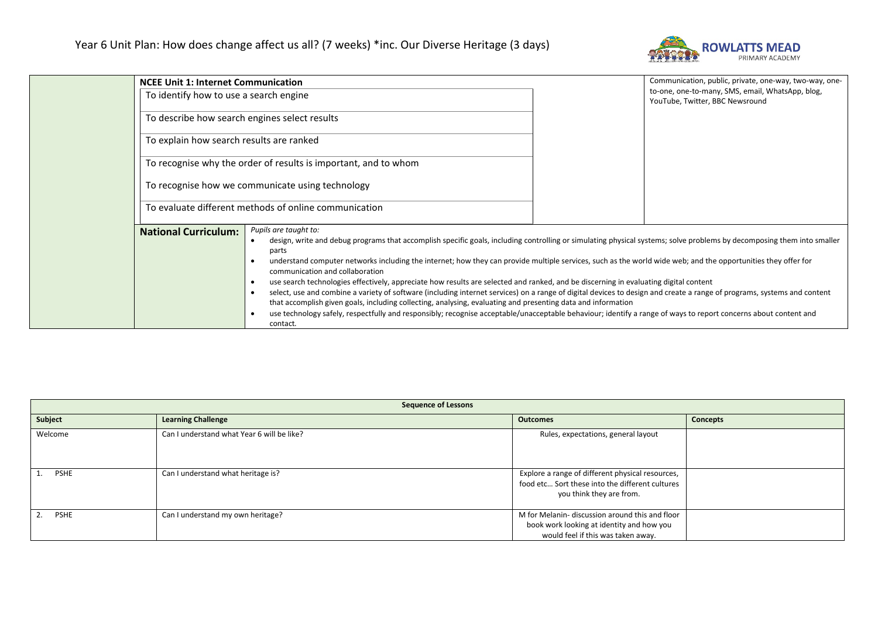

| <b>NCEE Unit 1: Internet Communication</b>            |                                                                                                                                                                                                                                                                                                                                                                                                                                                                                                                                                                                                                                                                                                                                                                                                                                                                                                                                                                                                                                | Communication, public, private, one-way, two-way, one- |                                                                                     |
|-------------------------------------------------------|--------------------------------------------------------------------------------------------------------------------------------------------------------------------------------------------------------------------------------------------------------------------------------------------------------------------------------------------------------------------------------------------------------------------------------------------------------------------------------------------------------------------------------------------------------------------------------------------------------------------------------------------------------------------------------------------------------------------------------------------------------------------------------------------------------------------------------------------------------------------------------------------------------------------------------------------------------------------------------------------------------------------------------|--------------------------------------------------------|-------------------------------------------------------------------------------------|
| To identify how to use a search engine                |                                                                                                                                                                                                                                                                                                                                                                                                                                                                                                                                                                                                                                                                                                                                                                                                                                                                                                                                                                                                                                |                                                        | to-one, one-to-many, SMS, email, WhatsApp, blog,<br>YouTube, Twitter, BBC Newsround |
| To describe how search engines select results         |                                                                                                                                                                                                                                                                                                                                                                                                                                                                                                                                                                                                                                                                                                                                                                                                                                                                                                                                                                                                                                |                                                        |                                                                                     |
| To explain how search results are ranked              |                                                                                                                                                                                                                                                                                                                                                                                                                                                                                                                                                                                                                                                                                                                                                                                                                                                                                                                                                                                                                                |                                                        |                                                                                     |
|                                                       | To recognise why the order of results is important, and to whom                                                                                                                                                                                                                                                                                                                                                                                                                                                                                                                                                                                                                                                                                                                                                                                                                                                                                                                                                                |                                                        |                                                                                     |
|                                                       | To recognise how we communicate using technology                                                                                                                                                                                                                                                                                                                                                                                                                                                                                                                                                                                                                                                                                                                                                                                                                                                                                                                                                                               |                                                        |                                                                                     |
| To evaluate different methods of online communication |                                                                                                                                                                                                                                                                                                                                                                                                                                                                                                                                                                                                                                                                                                                                                                                                                                                                                                                                                                                                                                |                                                        |                                                                                     |
| <b>National Curriculum:</b>                           | Pupils are taught to:<br>design, write and debug programs that accomplish specific goals, including controlling or simulating physical systems; solve problems by decomposing them into smaller<br>parts<br>understand computer networks including the internet; how they can provide multiple services, such as the world wide web; and the opportunities they offer for<br>communication and collaboration<br>use search technologies effectively, appreciate how results are selected and ranked, and be discerning in evaluating digital content<br>select, use and combine a variety of software (including internet services) on a range of digital devices to design and create a range of programs, systems and content<br>that accomplish given goals, including collecting, analysing, evaluating and presenting data and information<br>use technology safely, respectfully and responsibly; recognise acceptable/unacceptable behaviour; identify a range of ways to report concerns about content and<br>contact. |                                                        |                                                                                     |

| <b>Sequence of Lessons</b> |                                            |                                                                                                                                    |                 |
|----------------------------|--------------------------------------------|------------------------------------------------------------------------------------------------------------------------------------|-----------------|
| Subject                    | <b>Learning Challenge</b>                  | <b>Outcomes</b>                                                                                                                    | <b>Concepts</b> |
| Welcome                    | Can I understand what Year 6 will be like? | Rules, expectations, general layout                                                                                                |                 |
| <b>PSHE</b>                | Can I understand what heritage is?         | Explore a range of different physical resources,<br>food etc Sort these into the different cultures<br>you think they are from.    |                 |
| <b>PSHE</b>                | Can I understand my own heritage?          | M for Melanin- discussion around this and floor<br>book work looking at identity and how you<br>would feel if this was taken away. |                 |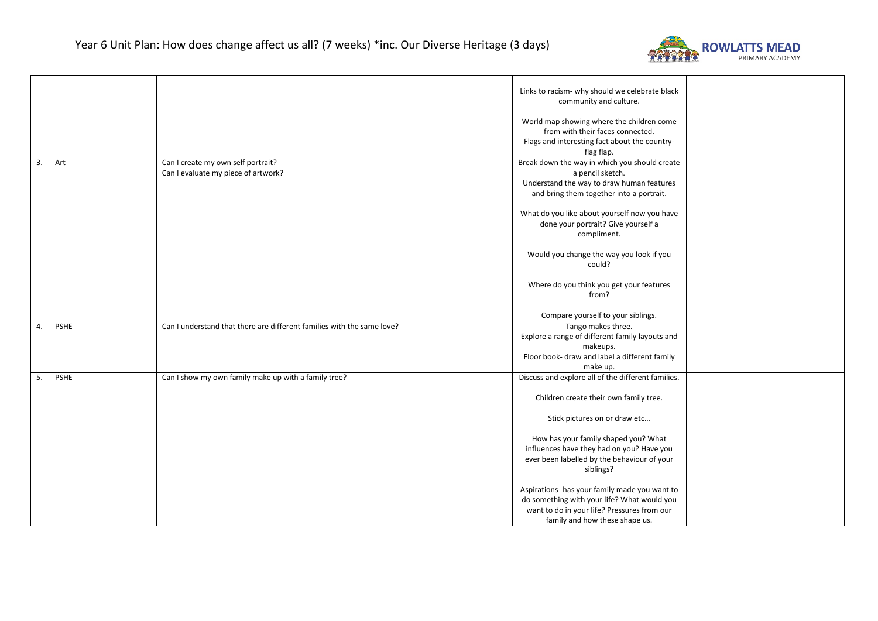

|                   |                                                                           | Links to racism- why should we celebrate black<br>community and culture.<br>World map showing where the children come<br>from with their faces connected.<br>Flags and interesting fact about the country-<br>flag flap.                                                                                                                                                    |  |
|-------------------|---------------------------------------------------------------------------|-----------------------------------------------------------------------------------------------------------------------------------------------------------------------------------------------------------------------------------------------------------------------------------------------------------------------------------------------------------------------------|--|
| 3. Art            | Can I create my own self portrait?<br>Can I evaluate my piece of artwork? | Break down the way in which you should create<br>a pencil sketch.<br>Understand the way to draw human features<br>and bring them together into a portrait.<br>What do you like about yourself now you have<br>done your portrait? Give yourself a<br>compliment.<br>Would you change the way you look if you<br>could?<br>Where do you think you get your features<br>from? |  |
|                   |                                                                           | Compare yourself to your siblings.                                                                                                                                                                                                                                                                                                                                          |  |
| <b>PSHE</b><br>4. | Can I understand that there are different families with the same love?    | Tango makes three.<br>Explore a range of different family layouts and<br>makeups.<br>Floor book- draw and label a different family<br>make up.                                                                                                                                                                                                                              |  |
| PSHE<br>5.        | Can I show my own family make up with a family tree?                      | Discuss and explore all of the different families.                                                                                                                                                                                                                                                                                                                          |  |
|                   |                                                                           | Children create their own family tree.                                                                                                                                                                                                                                                                                                                                      |  |
|                   |                                                                           | Stick pictures on or draw etc<br>How has your family shaped you? What<br>influences have they had on you? Have you<br>ever been labelled by the behaviour of your<br>siblings?                                                                                                                                                                                              |  |
|                   |                                                                           | Aspirations- has your family made you want to<br>do something with your life? What would you<br>want to do in your life? Pressures from our<br>family and how these shape us.                                                                                                                                                                                               |  |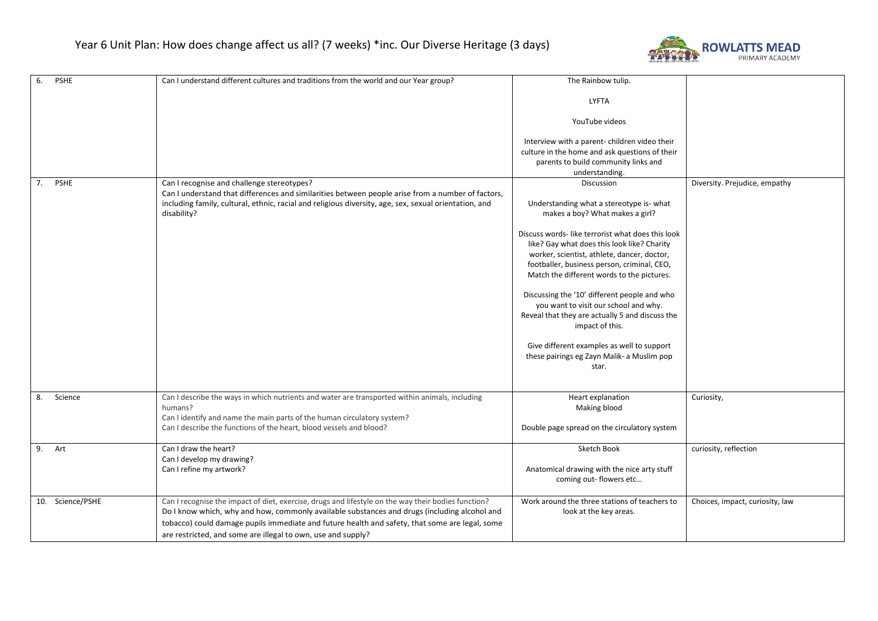

| 6.<br>PSHE       | Can I understand different cultures and traditions from the world and our Year group?                 | The Rainbow tulip.                                                                         |                                 |
|------------------|-------------------------------------------------------------------------------------------------------|--------------------------------------------------------------------------------------------|---------------------------------|
|                  |                                                                                                       | <b>LYFTA</b>                                                                               |                                 |
|                  |                                                                                                       | YouTube videos                                                                             |                                 |
|                  |                                                                                                       | Interview with a parent- children video their                                              |                                 |
|                  |                                                                                                       | culture in the home and ask questions of their                                             |                                 |
|                  |                                                                                                       | parents to build community links and                                                       |                                 |
|                  |                                                                                                       | understanding.                                                                             |                                 |
| 7. PSHE          | Can I recognise and challenge stereotypes?                                                            | Discussion                                                                                 | Diversity. Prejudice, empathy   |
|                  | Can I understand that differences and similarities between people arise from a number of factors,     |                                                                                            |                                 |
|                  | including family, cultural, ethnic, racial and religious diversity, age, sex, sexual orientation, and | Understanding what a stereotype is- what                                                   |                                 |
|                  | disability?                                                                                           | makes a boy? What makes a girl?                                                            |                                 |
|                  |                                                                                                       |                                                                                            |                                 |
|                  |                                                                                                       | Discuss words- like terrorist what does this look                                          |                                 |
|                  |                                                                                                       | like? Gay what does this look like? Charity<br>worker, scientist, athlete, dancer, doctor, |                                 |
|                  |                                                                                                       | footballer, business person, criminal, CEO,                                                |                                 |
|                  |                                                                                                       | Match the different words to the pictures.                                                 |                                 |
|                  |                                                                                                       |                                                                                            |                                 |
|                  |                                                                                                       | Discussing the '10' different people and who                                               |                                 |
|                  |                                                                                                       | you want to visit our school and why.                                                      |                                 |
|                  |                                                                                                       | Reveal that they are actually 5 and discuss the                                            |                                 |
|                  |                                                                                                       | impact of this.                                                                            |                                 |
|                  |                                                                                                       |                                                                                            |                                 |
|                  |                                                                                                       | Give different examples as well to support                                                 |                                 |
|                  |                                                                                                       | these pairings eg Zayn Malik- a Muslim pop                                                 |                                 |
|                  |                                                                                                       | star.                                                                                      |                                 |
|                  |                                                                                                       |                                                                                            |                                 |
| 8.<br>Science    | Can I describe the ways in which nutrients and water are transported within animals, including        | Heart explanation                                                                          | Curiosity,                      |
|                  | humans?                                                                                               | Making blood                                                                               |                                 |
|                  | Can I identify and name the main parts of the human circulatory system?                               |                                                                                            |                                 |
|                  | Can I describe the functions of the heart, blood vessels and blood?                                   | Double page spread on the circulatory system                                               |                                 |
|                  |                                                                                                       |                                                                                            |                                 |
| 9. Art           | Can I draw the heart?                                                                                 | Sketch Book                                                                                | curiosity, reflection           |
|                  | Can I develop my drawing?                                                                             |                                                                                            |                                 |
|                  | Can I refine my artwork?                                                                              | Anatomical drawing with the nice arty stuff                                                |                                 |
|                  |                                                                                                       | coming out- flowers etc                                                                    |                                 |
|                  |                                                                                                       |                                                                                            |                                 |
| 10. Science/PSHE | Can I recognise the impact of diet, exercise, drugs and lifestyle on the way their bodies function?   | Work around the three stations of teachers to                                              | Choices, impact, curiosity, law |
|                  | Do I know which, why and how, commonly available substances and drugs (including alcohol and          | look at the key areas.                                                                     |                                 |
|                  | tobacco) could damage pupils immediate and future health and safety, that some are legal, some        |                                                                                            |                                 |
|                  | are restricted, and some are illegal to own, use and supply?                                          |                                                                                            |                                 |